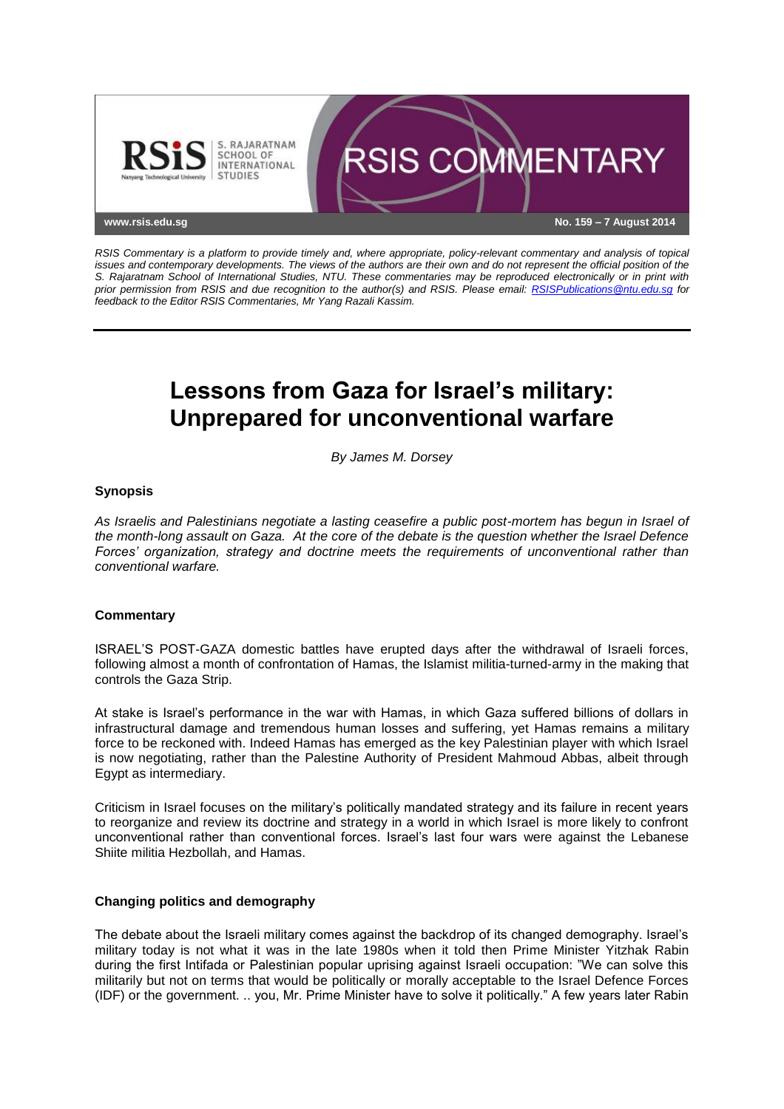

*RSIS Commentary is a platform to provide timely and, where appropriate, policy-relevant commentary and analysis of topical issues and contemporary developments. The views of the authors are their own and do not represent the official position of the S. Rajaratnam School of International Studies, NTU. These commentaries may be reproduced electronically or in print with prior permission from RSIS and due recognition to the author(s) and RSIS. Please email: [RSISPublications@ntu.edu.sg](mailto:RSISPublications@ntu.edu.sg) for feedback to the Editor RSIS Commentaries, Mr Yang Razali Kassim.*

# **Lessons from Gaza for Israel's military: Unprepared for unconventional warfare**

*By James M. Dorsey*

# **Synopsis**

*As Israelis and Palestinians negotiate a lasting ceasefire a public post-mortem has begun in Israel of the month-long assault on Gaza. At the core of the debate is the question whether the Israel Defence Forces' organization, strategy and doctrine meets the requirements of unconventional rather than conventional warfare.*

### **Commentary**

ISRAEL'S POST-GAZA domestic battles have erupted days after the withdrawal of Israeli forces, following almost a month of confrontation of Hamas, the Islamist militia-turned-army in the making that controls the Gaza Strip.

At stake is Israel's performance in the war with Hamas, in which Gaza suffered billions of dollars in infrastructural damage and tremendous human losses and suffering, yet Hamas remains a military force to be reckoned with. Indeed Hamas has emerged as the key Palestinian player with which Israel is now negotiating, rather than the Palestine Authority of President Mahmoud Abbas, albeit through Egypt as intermediary.

Criticism in Israel focuses on the military's politically mandated strategy and its failure in recent years to reorganize and review its doctrine and strategy in a world in which Israel is more likely to confront unconventional rather than conventional forces. Israel's last four wars were against the Lebanese Shiite militia Hezbollah, and Hamas.

### **Changing politics and demography**

The debate about the Israeli military comes against the backdrop of its changed demography. Israel's military today is not what it was in the late 1980s when it told then Prime Minister Yitzhak Rabin during the first Intifada or Palestinian popular uprising against Israeli occupation: "We can solve this militarily but not on terms that would be politically or morally acceptable to the Israel Defence Forces (IDF) or the government. .. you, Mr. Prime Minister have to solve it politically." A few years later Rabin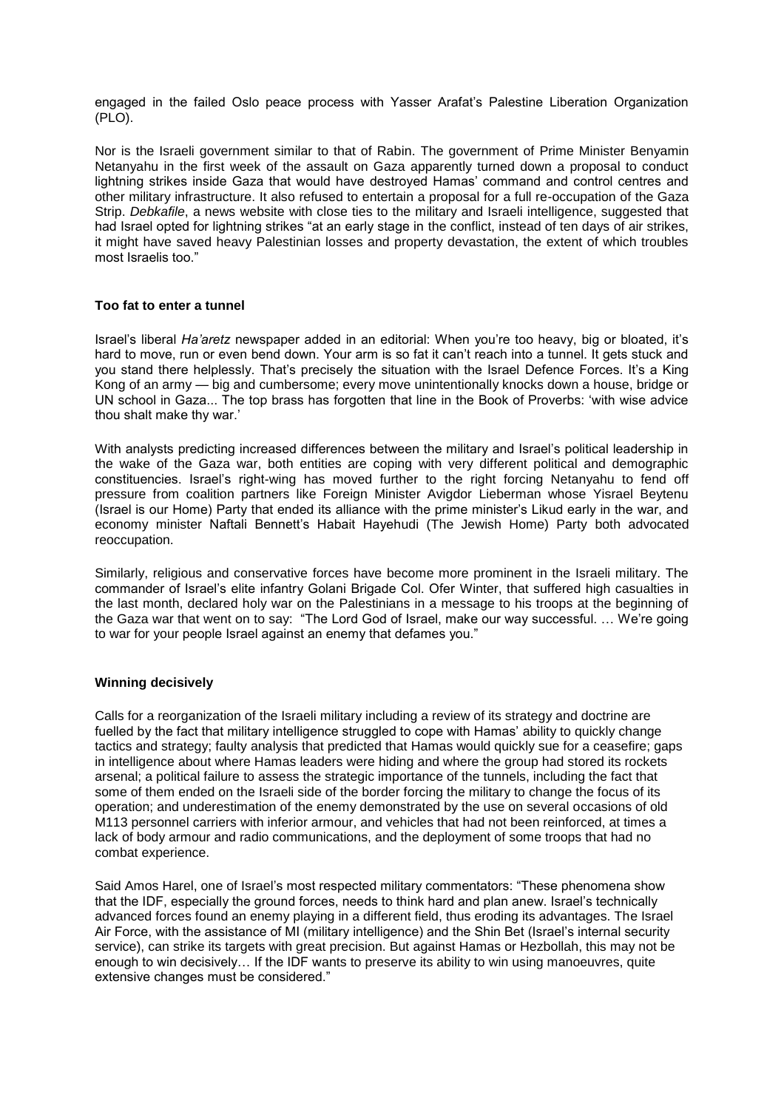engaged in the failed Oslo peace process with Yasser Arafat's Palestine Liberation Organization (PLO).

Nor is the Israeli government similar to that of Rabin. The government of Prime Minister Benyamin Netanyahu in the first week of the assault on Gaza apparently turned down a proposal to conduct lightning strikes inside Gaza that would have destroyed Hamas' command and control centres and other military infrastructure. It also refused to entertain a proposal for a full re-occupation of the Gaza Strip. *Debkafile*, a news website with close ties to the military and Israeli intelligence, suggested that had Israel opted for lightning strikes "at an early stage in the conflict, instead of ten days of air strikes, it might have saved heavy Palestinian losses and property devastation, the extent of which troubles most Israelis too."

# **Too fat to enter a tunnel**

Israel's liberal *Ha'aretz* newspaper added in an editorial: When you're too heavy, big or bloated, it's hard to move, run or even bend down. Your arm is so fat it can't reach into a tunnel. It gets stuck and you stand there helplessly. That's precisely the situation with the Israel Defence Forces. It's a King Kong of an army — big and cumbersome; every move unintentionally knocks down a house, bridge or UN school in Gaza... The top brass has forgotten that line in the Book of Proverbs: 'with wise advice thou shalt make thy war.'

With analysts predicting increased differences between the military and Israel's political leadership in the wake of the Gaza war, both entities are coping with very different political and demographic constituencies. Israel's right-wing has moved further to the right forcing Netanyahu to fend off pressure from coalition partners like Foreign Minister Avigdor Lieberman whose Yisrael Beytenu (Israel is our Home) Party that ended its alliance with the prime minister's Likud early in the war, and economy minister Naftali Bennett's Habait Hayehudi (The Jewish Home) Party both advocated reoccupation.

Similarly, religious and conservative forces have become more prominent in the Israeli military. The commander of Israel's elite infantry Golani Brigade Col. Ofer Winter, that suffered high casualties in the last month, declared holy war on the Palestinians in a message to his troops at the beginning of the Gaza war that went on to say: "The Lord God of Israel, make our way successful. … We're going to war for your people Israel against an enemy that defames you."

### **Winning decisively**

Calls for a reorganization of the Israeli military including a review of its strategy and doctrine are fuelled by the fact that military intelligence struggled to cope with Hamas' ability to quickly change tactics and strategy; faulty analysis that predicted that Hamas would quickly sue for a ceasefire; gaps in intelligence about where Hamas leaders were hiding and where the group had stored its rockets arsenal; a political failure to assess the strategic importance of the tunnels, including the fact that some of them ended on the Israeli side of the border forcing the military to change the focus of its operation; and underestimation of the enemy demonstrated by the use on several occasions of old M113 personnel carriers with inferior armour, and vehicles that had not been reinforced, at times a lack of body armour and radio communications, and the deployment of some troops that had no combat experience.

Said Amos Harel, one of Israel's most respected military commentators: "These phenomena show that the IDF, especially the ground forces, needs to think hard and plan anew. Israel's technically advanced forces found an enemy playing in a different field, thus eroding its advantages. The Israel Air Force, with the assistance of MI (military intelligence) and the Shin Bet (Israel's internal security service), can strike its targets with great precision. But against Hamas or Hezbollah, this may not be enough to win decisively… If the IDF wants to preserve its ability to win using manoeuvres, quite extensive changes must be considered."